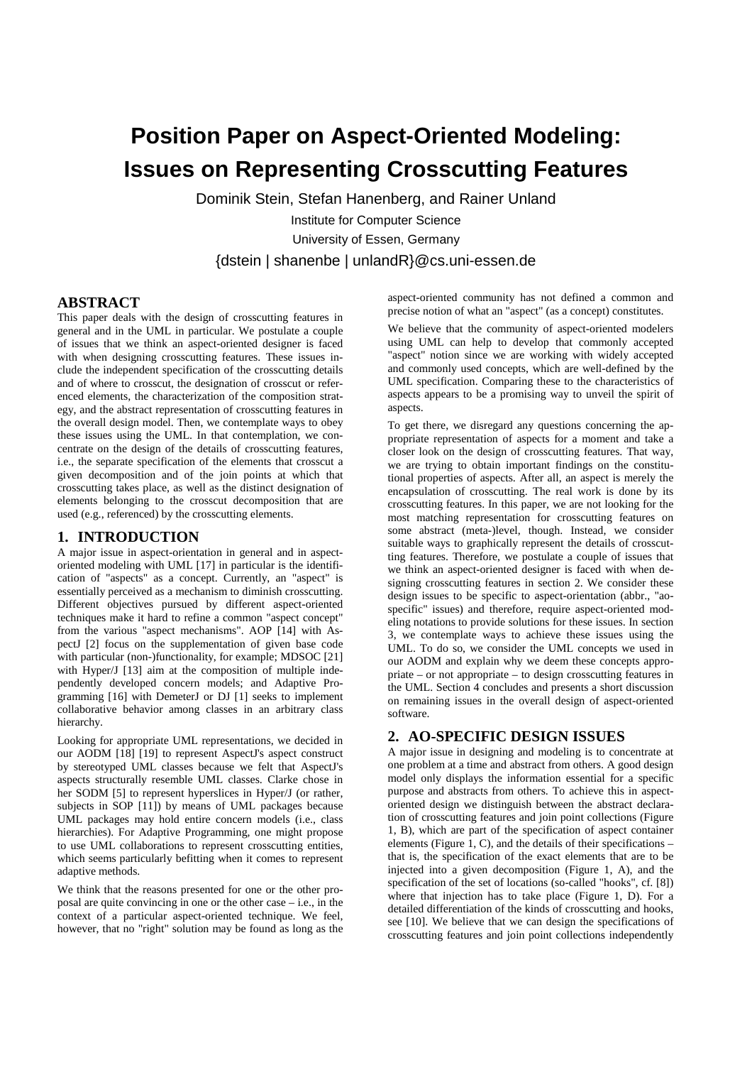# **Position Paper on Aspect-Oriented Modeling: Issues on Representing Crosscutting Features**

Dominik Stein, Stefan Hanenberg, and Rainer Unland

Institute for Computer Science University of Essen, Germany

{dstein | shanenbe | unlandR}@cs.uni-essen.de

## **ABSTRACT**

This paper deals with the design of crosscutting features in general and in the UML in particular. We postulate a couple of issues that we think an aspect-oriented designer is faced with when designing crosscutting features. These issues include the independent specification of the crosscutting details and of where to crosscut, the designation of crosscut or referenced elements, the characterization of the composition strategy, and the abstract representation of crosscutting features in the overall design model. Then, we contemplate ways to obey these issues using the UML. In that contemplation, we concentrate on the design of the details of crosscutting features, i.e., the separate specification of the elements that crosscut a given decomposition and of the join points at which that crosscutting takes place, as well as the distinct designation of elements belonging to the crosscut decomposition that are used (e.g., referenced) by the crosscutting elements.

## **1. INTRODUCTION**

A major issue in aspect-orientation in general and in aspectoriented modeling with UML [17] in particular is the identification of "aspects" as a concept. Currently, an "aspect" is essentially perceived as a mechanism to diminish crosscutting. Different objectives pursued by different aspect-oriented techniques make it hard to refine a common "aspect concept" from the various "aspect mechanisms". AOP [14] with AspectJ [2] focus on the supplementation of given base code with particular (non-)functionality, for example; MDSOC [21] with Hyper/J [13] aim at the composition of multiple independently developed concern models; and Adaptive Programming [16] with DemeterJ or DJ [1] seeks to implement collaborative behavior among classes in an arbitrary class hierarchy.

Looking for appropriate UML representations, we decided in our AODM [18] [19] to represent AspectJ's aspect construct by stereotyped UML classes because we felt that AspectJ's aspects structurally resemble UML classes. Clarke chose in her SODM [5] to represent hyperslices in Hyper/J (or rather, subjects in SOP [11]) by means of UML packages because UML packages may hold entire concern models (i.e., class hierarchies). For Adaptive Programming, one might propose to use UML collaborations to represent crosscutting entities, which seems particularly befitting when it comes to represent adaptive methods.

We think that the reasons presented for one or the other proposal are quite convincing in one or the other case – i.e., in the context of a particular aspect-oriented technique. We feel, however, that no "right" solution may be found as long as the

aspect-oriented community has not defined a common and precise notion of what an "aspect" (as a concept) constitutes.

We believe that the community of aspect-oriented modelers using UML can help to develop that commonly accepted "aspect" notion since we are working with widely accepted and commonly used concepts, which are well-defined by the UML specification. Comparing these to the characteristics of aspects appears to be a promising way to unveil the spirit of aspects.

To get there, we disregard any questions concerning the appropriate representation of aspects for a moment and take a closer look on the design of crosscutting features. That way, we are trying to obtain important findings on the constitutional properties of aspects. After all, an aspect is merely the encapsulation of crosscutting. The real work is done by its crosscutting features. In this paper, we are not looking for the most matching representation for crosscutting features on some abstract (meta-)level, though. Instead, we consider suitable ways to graphically represent the details of crosscutting features. Therefore, we postulate a couple of issues that we think an aspect-oriented designer is faced with when designing crosscutting features in section 2. We consider these design issues to be specific to aspect-orientation (abbr., "aospecific" issues) and therefore, require aspect-oriented modeling notations to provide solutions for these issues. In section 3, we contemplate ways to achieve these issues using the UML. To do so, we consider the UML concepts we used in our AODM and explain why we deem these concepts appropriate – or not appropriate – to design crosscutting features in the UML. Section 4 concludes and presents a short discussion on remaining issues in the overall design of aspect-oriented software.

## **2. AO-SPECIFIC DESIGN ISSUES**

A major issue in designing and modeling is to concentrate at one problem at a time and abstract from others. A good design model only displays the information essential for a specific purpose and abstracts from others. To achieve this in aspectoriented design we distinguish between the abstract declaration of crosscutting features and join point collections (Figure 1, B), which are part of the specification of aspect container elements (Figure 1, C), and the details of their specifications – that is, the specification of the exact elements that are to be injected into a given decomposition (Figure 1, A), and the specification of the set of locations (so-called "hooks", cf. [8]) where that injection has to take place (Figure 1, D). For a detailed differentiation of the kinds of crosscutting and hooks, see [10]. We believe that we can design the specifications of crosscutting features and join point collections independently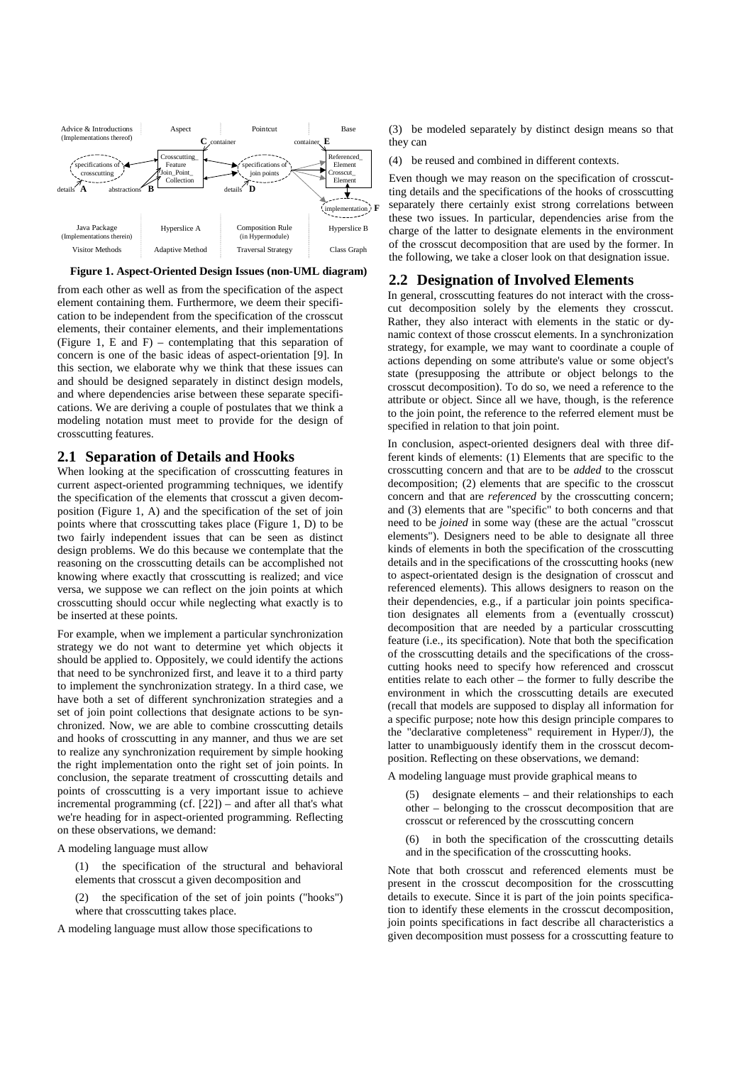

**Figure 1. Aspect-Oriented Design Issues (non-UML diagram)**

from each other as well as from the specification of the aspect element containing them. Furthermore, we deem their specification to be independent from the specification of the crosscut elements, their container elements, and their implementations (Figure 1, E and F) – contemplating that this separation of concern is one of the basic ideas of aspect-orientation [9]. In this section, we elaborate why we think that these issues can and should be designed separately in distinct design models, and where dependencies arise between these separate specifications. We are deriving a couple of postulates that we think a modeling notation must meet to provide for the design of crosscutting features.

#### **2.1 Separation of Details and Hooks**

When looking at the specification of crosscutting features in current aspect-oriented programming techniques, we identify the specification of the elements that crosscut a given decomposition (Figure 1, A) and the specification of the set of join points where that crosscutting takes place (Figure 1, D) to be two fairly independent issues that can be seen as distinct design problems. We do this because we contemplate that the reasoning on the crosscutting details can be accomplished not knowing where exactly that crosscutting is realized; and vice versa, we suppose we can reflect on the join points at which crosscutting should occur while neglecting what exactly is to be inserted at these points.

For example, when we implement a particular synchronization strategy we do not want to determine yet which objects it should be applied to. Oppositely, we could identify the actions that need to be synchronized first, and leave it to a third party to implement the synchronization strategy. In a third case, we have both a set of different synchronization strategies and a set of join point collections that designate actions to be synchronized. Now, we are able to combine crosscutting details and hooks of crosscutting in any manner, and thus we are set to realize any synchronization requirement by simple hooking the right implementation onto the right set of join points. In conclusion, the separate treatment of crosscutting details and points of crosscutting is a very important issue to achieve incremental programming (cf. [22]) – and after all that's what we're heading for in aspect-oriented programming. Reflecting on these observations, we demand:

A modeling language must allow

(1) the specification of the structural and behavioral elements that crosscut a given decomposition and

(2) the specification of the set of join points ("hooks") where that crosscutting takes place.

A modeling language must allow those specifications to

(3) be modeled separately by distinct design means so that they can

(4) be reused and combined in different contexts.

Even though we may reason on the specification of crosscutting details and the specifications of the hooks of crosscutting separately there certainly exist strong correlations between these two issues. In particular, dependencies arise from the charge of the latter to designate elements in the environment of the crosscut decomposition that are used by the former. In the following, we take a closer look on that designation issue.

### **2.2 Designation of Involved Elements**

In general, crosscutting features do not interact with the crosscut decomposition solely by the elements they crosscut. Rather, they also interact with elements in the static or dynamic context of those crosscut elements. In a synchronization strategy, for example, we may want to coordinate a couple of actions depending on some attribute's value or some object's state (presupposing the attribute or object belongs to the crosscut decomposition). To do so, we need a reference to the attribute or object. Since all we have, though, is the reference to the join point, the reference to the referred element must be specified in relation to that join point.

In conclusion, aspect-oriented designers deal with three different kinds of elements: (1) Elements that are specific to the crosscutting concern and that are to be *added* to the crosscut decomposition; (2) elements that are specific to the crosscut concern and that are *referenced* by the crosscutting concern; and (3) elements that are "specific" to both concerns and that need to be *joined* in some way (these are the actual "crosscut elements"). Designers need to be able to designate all three kinds of elements in both the specification of the crosscutting details and in the specifications of the crosscutting hooks (new to aspect-orientated design is the designation of crosscut and referenced elements). This allows designers to reason on the their dependencies, e.g., if a particular join points specification designates all elements from a (eventually crosscut) decomposition that are needed by a particular crosscutting feature (i.e., its specification). Note that both the specification of the crosscutting details and the specifications of the crosscutting hooks need to specify how referenced and crosscut entities relate to each other – the former to fully describe the environment in which the crosscutting details are executed (recall that models are supposed to display all information for a specific purpose; note how this design principle compares to the "declarative completeness" requirement in Hyper/J), the latter to unambiguously identify them in the crosscut decomposition. Reflecting on these observations, we demand:

A modeling language must provide graphical means to

(5) designate elements – and their relationships to each other – belonging to the crosscut decomposition that are crosscut or referenced by the crosscutting concern

(6) in both the specification of the crosscutting details and in the specification of the crosscutting hooks.

Note that both crosscut and referenced elements must be present in the crosscut decomposition for the crosscutting details to execute. Since it is part of the join points specification to identify these elements in the crosscut decomposition, join points specifications in fact describe all characteristics a given decomposition must possess for a crosscutting feature to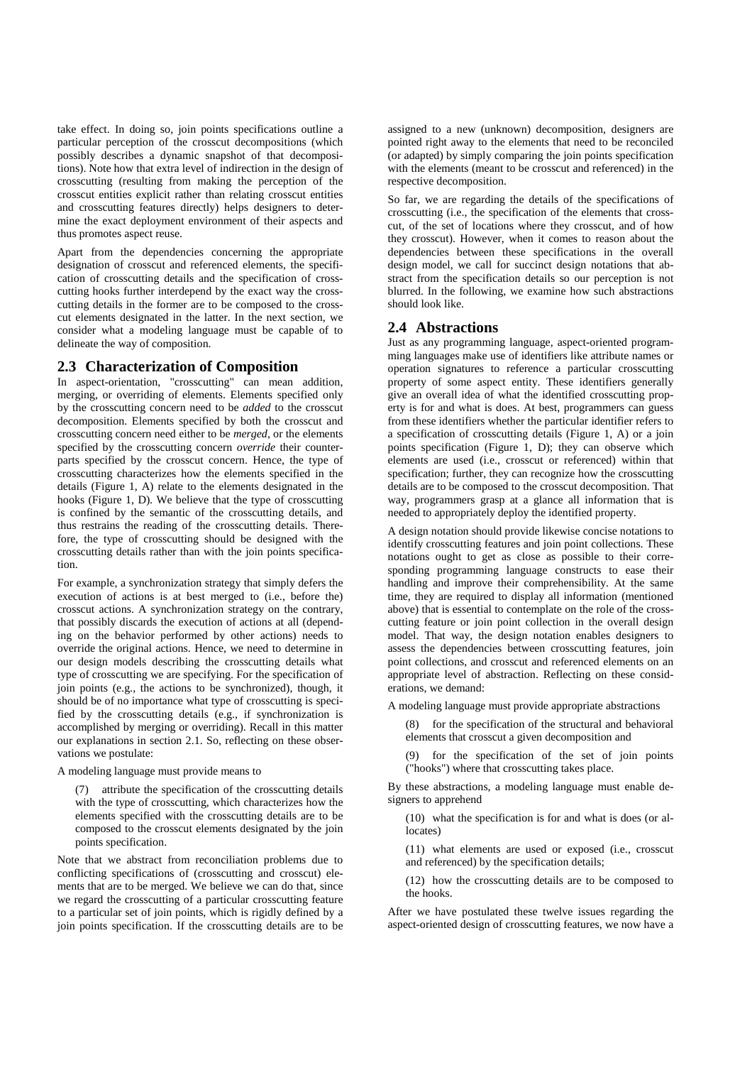take effect. In doing so, join points specifications outline a particular perception of the crosscut decompositions (which possibly describes a dynamic snapshot of that decompositions). Note how that extra level of indirection in the design of crosscutting (resulting from making the perception of the crosscut entities explicit rather than relating crosscut entities and crosscutting features directly) helps designers to determine the exact deployment environment of their aspects and thus promotes aspect reuse.

Apart from the dependencies concerning the appropriate designation of crosscut and referenced elements, the specification of crosscutting details and the specification of crosscutting hooks further interdepend by the exact way the crosscutting details in the former are to be composed to the crosscut elements designated in the latter. In the next section, we consider what a modeling language must be capable of to delineate the way of composition.

### **2.3 Characterization of Composition**

In aspect-orientation, "crosscutting" can mean addition, merging, or overriding of elements. Elements specified only by the crosscutting concern need to be *added* to the crosscut decomposition. Elements specified by both the crosscut and crosscutting concern need either to be *merged*, or the elements specified by the crosscutting concern *override* their counterparts specified by the crosscut concern. Hence, the type of crosscutting characterizes how the elements specified in the details (Figure 1, A) relate to the elements designated in the hooks (Figure 1, D). We believe that the type of crosscutting is confined by the semantic of the crosscutting details, and thus restrains the reading of the crosscutting details. Therefore, the type of crosscutting should be designed with the crosscutting details rather than with the join points specification.

For example, a synchronization strategy that simply defers the execution of actions is at best merged to (i.e., before the) crosscut actions. A synchronization strategy on the contrary, that possibly discards the execution of actions at all (depending on the behavior performed by other actions) needs to override the original actions. Hence, we need to determine in our design models describing the crosscutting details what type of crosscutting we are specifying. For the specification of join points (e.g., the actions to be synchronized), though, it should be of no importance what type of crosscutting is specified by the crosscutting details (e.g., if synchronization is accomplished by merging or overriding). Recall in this matter our explanations in section 2.1. So, reflecting on these observations we postulate:

A modeling language must provide means to

(7) attribute the specification of the crosscutting details with the type of crosscutting, which characterizes how the elements specified with the crosscutting details are to be composed to the crosscut elements designated by the join points specification.

Note that we abstract from reconciliation problems due to conflicting specifications of (crosscutting and crosscut) elements that are to be merged. We believe we can do that, since we regard the crosscutting of a particular crosscutting feature to a particular set of join points, which is rigidly defined by a join points specification. If the crosscutting details are to be

assigned to a new (unknown) decomposition, designers are pointed right away to the elements that need to be reconciled (or adapted) by simply comparing the join points specification with the elements (meant to be crosscut and referenced) in the respective decomposition.

So far, we are regarding the details of the specifications of crosscutting (i.e., the specification of the elements that crosscut, of the set of locations where they crosscut, and of how they crosscut). However, when it comes to reason about the dependencies between these specifications in the overall design model, we call for succinct design notations that abstract from the specification details so our perception is not blurred. In the following, we examine how such abstractions should look like.

## **2.4 Abstractions**

Just as any programming language, aspect-oriented programming languages make use of identifiers like attribute names or operation signatures to reference a particular crosscutting property of some aspect entity. These identifiers generally give an overall idea of what the identified crosscutting property is for and what is does. At best, programmers can guess from these identifiers whether the particular identifier refers to a specification of crosscutting details (Figure 1, A) or a join points specification (Figure 1, D); they can observe which elements are used (i.e., crosscut or referenced) within that specification; further, they can recognize how the crosscutting details are to be composed to the crosscut decomposition. That way, programmers grasp at a glance all information that is needed to appropriately deploy the identified property.

A design notation should provide likewise concise notations to identify crosscutting features and join point collections. These notations ought to get as close as possible to their corresponding programming language constructs to ease their handling and improve their comprehensibility. At the same time, they are required to display all information (mentioned above) that is essential to contemplate on the role of the crosscutting feature or join point collection in the overall design model. That way, the design notation enables designers to assess the dependencies between crosscutting features, join point collections, and crosscut and referenced elements on an appropriate level of abstraction. Reflecting on these considerations, we demand:

A modeling language must provide appropriate abstractions

(8) for the specification of the structural and behavioral elements that crosscut a given decomposition and

(9) for the specification of the set of join points ("hooks") where that crosscutting takes place.

By these abstractions, a modeling language must enable designers to apprehend

(10) what the specification is for and what is does (or allocates)

(11) what elements are used or exposed (i.e., crosscut and referenced) by the specification details;

(12) how the crosscutting details are to be composed to the hooks.

After we have postulated these twelve issues regarding the aspect-oriented design of crosscutting features, we now have a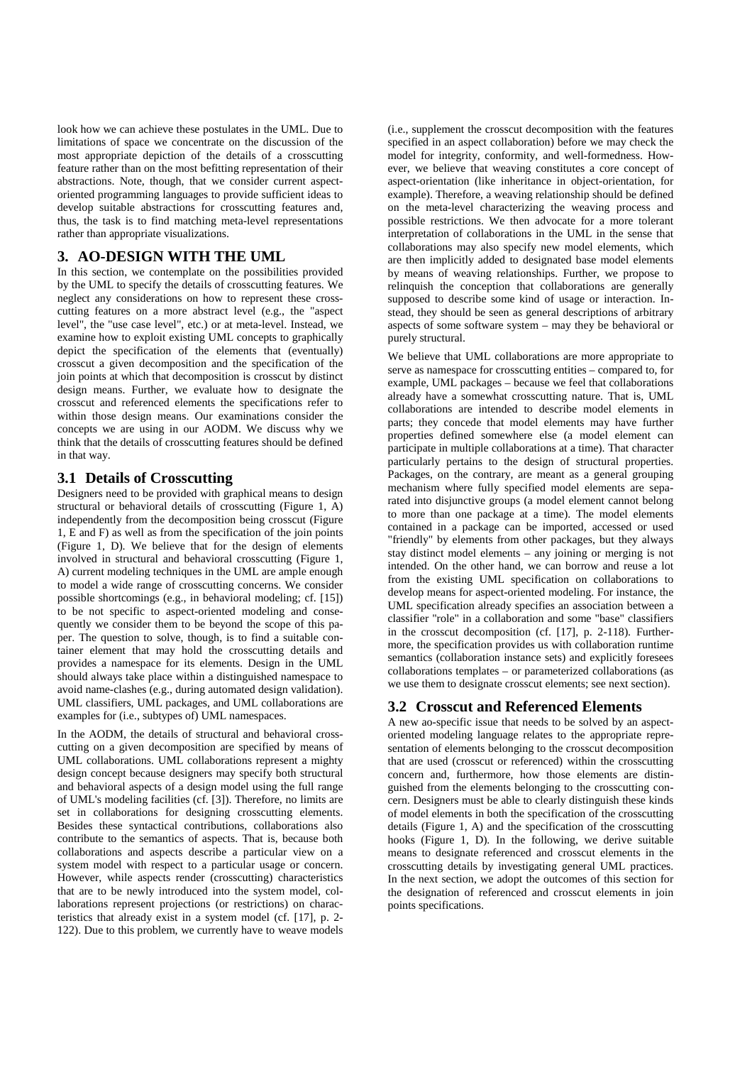look how we can achieve these postulates in the UML. Due to limitations of space we concentrate on the discussion of the most appropriate depiction of the details of a crosscutting feature rather than on the most befitting representation of their abstractions. Note, though, that we consider current aspectoriented programming languages to provide sufficient ideas to develop suitable abstractions for crosscutting features and, thus, the task is to find matching meta-level representations rather than appropriate visualizations.

# **3. AO-DESIGN WITH THE UML**

In this section, we contemplate on the possibilities provided by the UML to specify the details of crosscutting features. We neglect any considerations on how to represent these crosscutting features on a more abstract level (e.g., the "aspect level", the "use case level", etc.) or at meta-level. Instead, we examine how to exploit existing UML concepts to graphically depict the specification of the elements that (eventually) crosscut a given decomposition and the specification of the join points at which that decomposition is crosscut by distinct design means. Further, we evaluate how to designate the crosscut and referenced elements the specifications refer to within those design means. Our examinations consider the concepts we are using in our AODM. We discuss why we think that the details of crosscutting features should be defined in that way.

## **3.1 Details of Crosscutting**

Designers need to be provided with graphical means to design structural or behavioral details of crosscutting (Figure 1, A) independently from the decomposition being crosscut (Figure 1, E and F) as well as from the specification of the join points (Figure 1, D). We believe that for the design of elements involved in structural and behavioral crosscutting (Figure 1, A) current modeling techniques in the UML are ample enough to model a wide range of crosscutting concerns. We consider possible shortcomings (e.g., in behavioral modeling; cf. [15]) to be not specific to aspect-oriented modeling and consequently we consider them to be beyond the scope of this paper. The question to solve, though, is to find a suitable container element that may hold the crosscutting details and provides a namespace for its elements. Design in the UML should always take place within a distinguished namespace to avoid name-clashes (e.g., during automated design validation). UML classifiers, UML packages, and UML collaborations are examples for (i.e., subtypes of) UML namespaces.

In the AODM, the details of structural and behavioral crosscutting on a given decomposition are specified by means of UML collaborations. UML collaborations represent a mighty design concept because designers may specify both structural and behavioral aspects of a design model using the full range of UML's modeling facilities (cf. [3]). Therefore, no limits are set in collaborations for designing crosscutting elements. Besides these syntactical contributions, collaborations also contribute to the semantics of aspects. That is, because both collaborations and aspects describe a particular view on a system model with respect to a particular usage or concern. However, while aspects render (crosscutting) characteristics that are to be newly introduced into the system model, collaborations represent projections (or restrictions) on characteristics that already exist in a system model (cf. [17], p. 2- 122). Due to this problem, we currently have to weave models

(i.e., supplement the crosscut decomposition with the features specified in an aspect collaboration) before we may check the model for integrity, conformity, and well-formedness. However, we believe that weaving constitutes a core concept of aspect-orientation (like inheritance in object-orientation, for example). Therefore, a weaving relationship should be defined on the meta-level characterizing the weaving process and possible restrictions. We then advocate for a more tolerant interpretation of collaborations in the UML in the sense that collaborations may also specify new model elements, which are then implicitly added to designated base model elements by means of weaving relationships. Further, we propose to relinquish the conception that collaborations are generally supposed to describe some kind of usage or interaction. Instead, they should be seen as general descriptions of arbitrary aspects of some software system – may they be behavioral or purely structural.

We believe that UML collaborations are more appropriate to serve as namespace for crosscutting entities – compared to, for example, UML packages – because we feel that collaborations already have a somewhat crosscutting nature. That is, UML collaborations are intended to describe model elements in parts; they concede that model elements may have further properties defined somewhere else (a model element can participate in multiple collaborations at a time). That character particularly pertains to the design of structural properties. Packages, on the contrary, are meant as a general grouping mechanism where fully specified model elements are separated into disjunctive groups (a model element cannot belong to more than one package at a time). The model elements contained in a package can be imported, accessed or used "friendly" by elements from other packages, but they always stay distinct model elements – any joining or merging is not intended. On the other hand, we can borrow and reuse a lot from the existing UML specification on collaborations to develop means for aspect-oriented modeling. For instance, the UML specification already specifies an association between a classifier "role" in a collaboration and some "base" classifiers in the crosscut decomposition (cf. [17], p. 2-118). Furthermore, the specification provides us with collaboration runtime semantics (collaboration instance sets) and explicitly foresees collaborations templates – or parameterized collaborations (as we use them to designate crosscut elements; see next section).

#### **3.2 Crosscut and Referenced Elements**

A new ao-specific issue that needs to be solved by an aspectoriented modeling language relates to the appropriate representation of elements belonging to the crosscut decomposition that are used (crosscut or referenced) within the crosscutting concern and, furthermore, how those elements are distinguished from the elements belonging to the crosscutting concern. Designers must be able to clearly distinguish these kinds of model elements in both the specification of the crosscutting details (Figure 1, A) and the specification of the crosscutting hooks (Figure 1, D). In the following, we derive suitable means to designate referenced and crosscut elements in the crosscutting details by investigating general UML practices. In the next section, we adopt the outcomes of this section for the designation of referenced and crosscut elements in join points specifications.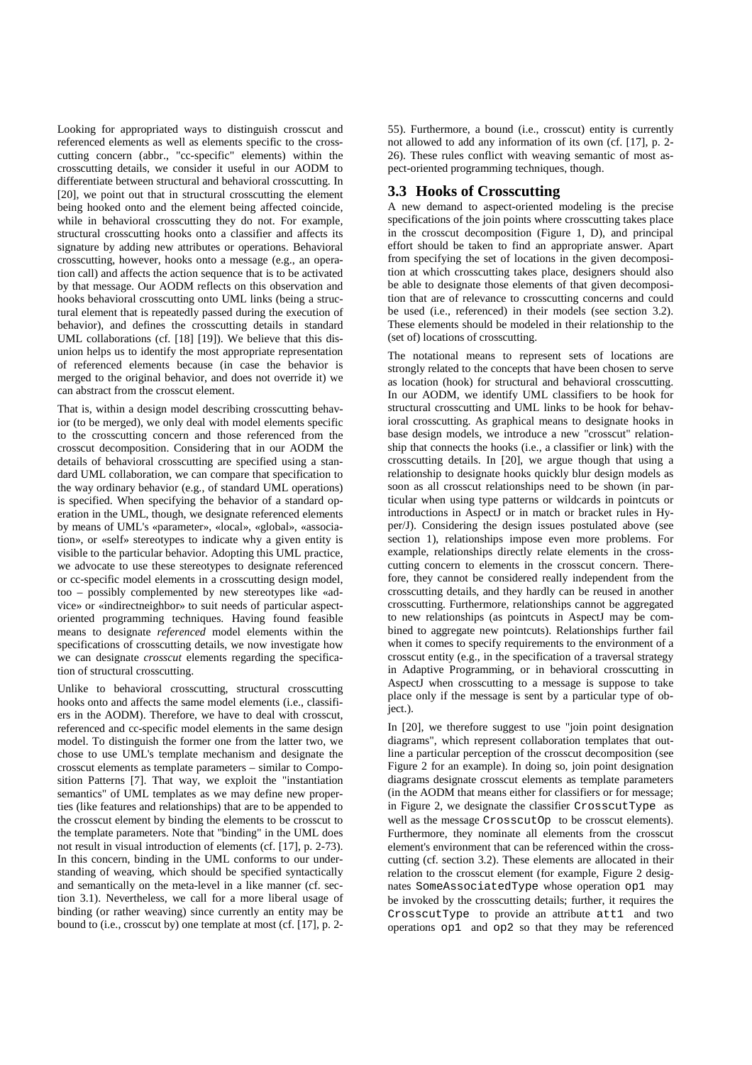Looking for appropriated ways to distinguish crosscut and referenced elements as well as elements specific to the crosscutting concern (abbr., "cc-specific" elements) within the crosscutting details, we consider it useful in our AODM to differentiate between structural and behavioral crosscutting. In [20], we point out that in structural crosscutting the element being hooked onto and the element being affected coincide, while in behavioral crosscutting they do not. For example, structural crosscutting hooks onto a classifier and affects its signature by adding new attributes or operations. Behavioral crosscutting, however, hooks onto a message (e.g., an operation call) and affects the action sequence that is to be activated by that message. Our AODM reflects on this observation and hooks behavioral crosscutting onto UML links (being a structural element that is repeatedly passed during the execution of behavior), and defines the crosscutting details in standard UML collaborations (cf. [18] [19]). We believe that this disunion helps us to identify the most appropriate representation of referenced elements because (in case the behavior is merged to the original behavior, and does not override it) we can abstract from the crosscut element.

That is, within a design model describing crosscutting behavior (to be merged), we only deal with model elements specific to the crosscutting concern and those referenced from the crosscut decomposition. Considering that in our AODM the details of behavioral crosscutting are specified using a standard UML collaboration, we can compare that specification to the way ordinary behavior (e.g., of standard UML operations) is specified. When specifying the behavior of a standard operation in the UML, though, we designate referenced elements by means of UML's «parameter», «local», «global», «association», or «self» stereotypes to indicate why a given entity is visible to the particular behavior. Adopting this UML practice, we advocate to use these stereotypes to designate referenced or cc-specific model elements in a crosscutting design model, too – possibly complemented by new stereotypes like «advice» or «indirectneighbor» to suit needs of particular aspectoriented programming techniques. Having found feasible means to designate *referenced* model elements within the specifications of crosscutting details, we now investigate how we can designate *crosscut* elements regarding the specification of structural crosscutting.

Unlike to behavioral crosscutting, structural crosscutting hooks onto and affects the same model elements (i.e., classifiers in the AODM). Therefore, we have to deal with crosscut, referenced and cc-specific model elements in the same design model. To distinguish the former one from the latter two, we chose to use UML's template mechanism and designate the crosscut elements as template parameters – similar to Composition Patterns [7]. That way, we exploit the "instantiation semantics" of UML templates as we may define new properties (like features and relationships) that are to be appended to the crosscut element by binding the elements to be crosscut to the template parameters. Note that "binding" in the UML does not result in visual introduction of elements (cf. [17], p. 2-73). In this concern, binding in the UML conforms to our understanding of weaving, which should be specified syntactically and semantically on the meta-level in a like manner (cf. section 3.1). Nevertheless, we call for a more liberal usage of binding (or rather weaving) since currently an entity may be bound to (i.e., crosscut by) one template at most (cf. [17], p. 2-

55). Furthermore, a bound (i.e., crosscut) entity is currently not allowed to add any information of its own (cf. [17], p. 2- 26). These rules conflict with weaving semantic of most aspect-oriented programming techniques, though.

## **3.3 Hooks of Crosscutting**

A new demand to aspect-oriented modeling is the precise specifications of the join points where crosscutting takes place in the crosscut decomposition (Figure 1, D), and principal effort should be taken to find an appropriate answer. Apart from specifying the set of locations in the given decomposition at which crosscutting takes place, designers should also be able to designate those elements of that given decomposition that are of relevance to crosscutting concerns and could be used (i.e., referenced) in their models (see section 3.2). These elements should be modeled in their relationship to the (set of) locations of crosscutting.

The notational means to represent sets of locations are strongly related to the concepts that have been chosen to serve as location (hook) for structural and behavioral crosscutting. In our AODM, we identify UML classifiers to be hook for structural crosscutting and UML links to be hook for behavioral crosscutting. As graphical means to designate hooks in base design models, we introduce a new "crosscut" relationship that connects the hooks (i.e., a classifier or link) with the crosscutting details. In [20], we argue though that using a relationship to designate hooks quickly blur design models as soon as all crosscut relationships need to be shown (in particular when using type patterns or wildcards in pointcuts or introductions in AspectJ or in match or bracket rules in Hyper/J). Considering the design issues postulated above (see section 1), relationships impose even more problems. For example, relationships directly relate elements in the crosscutting concern to elements in the crosscut concern. Therefore, they cannot be considered really independent from the crosscutting details, and they hardly can be reused in another crosscutting. Furthermore, relationships cannot be aggregated to new relationships (as pointcuts in AspectJ may be combined to aggregate new pointcuts). Relationships further fail when it comes to specify requirements to the environment of a crosscut entity (e.g., in the specification of a traversal strategy in Adaptive Programming, or in behavioral crosscutting in AspectJ when crosscutting to a message is suppose to take place only if the message is sent by a particular type of obiect.).

In [20], we therefore suggest to use "join point designation diagrams", which represent collaboration templates that outline a particular perception of the crosscut decomposition (see Figure 2 for an example). In doing so, join point designation diagrams designate crosscut elements as template parameters (in the AODM that means either for classifiers or for message; in Figure 2, we designate the classifier CrosscutType as well as the message CrosscutOp to be crosscut elements). Furthermore, they nominate all elements from the crosscut element's environment that can be referenced within the crosscutting (cf. section 3.2). These elements are allocated in their relation to the crosscut element (for example, Figure 2 designates SomeAssociatedType whose operation op1 may be invoked by the crosscutting details; further, it requires the CrosscutType to provide an attribute att1 and two operations op1 and op2 so that they may be referenced